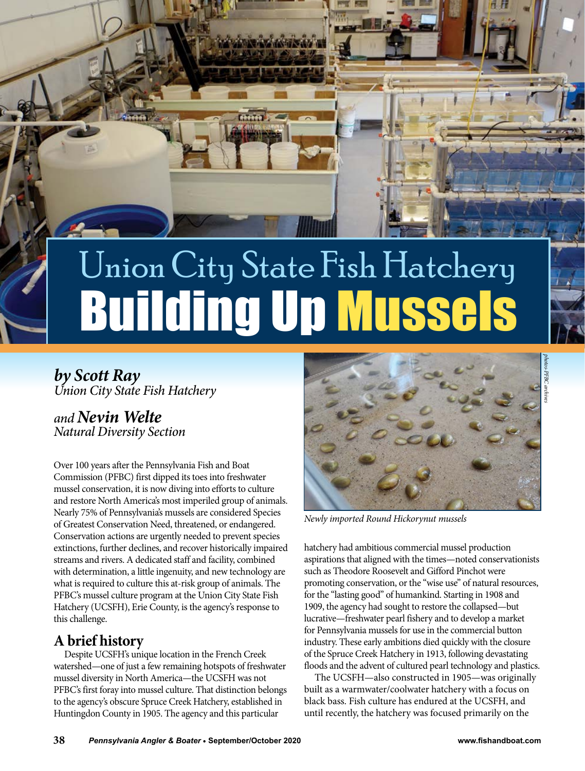

# **Building Up Mussel** Union City State Fish Hatchery

*by Scott Ray Union City State Fish Hatchery*

*and Nevin Welte Natural Diversity Section*

Over 100 years after the Pennsylvania Fish and Boat Commission (PFBC) first dipped its toes into freshwater mussel conservation, it is now diving into efforts to culture and restore North America's most imperiled group of animals. Nearly 75% of Pennsylvania's mussels are considered Species of Greatest Conservation Need, threatened, or endangered. Conservation actions are urgently needed to prevent species extinctions, further declines, and recover historically impaired streams and rivers. A dedicated staff and facility, combined with determination, a little ingenuity, and new technology are what is required to culture this at-risk group of animals. The PFBC's mussel culture program at the Union City State Fish Hatchery (UCSFH), Erie County, is the agency's response to this challenge.

## **A brief history**

Despite UCSFH's unique location in the French Creek watershed—one of just a few remaining hotspots of freshwater mussel diversity in North America—the UCSFH was not PFBC's first foray into mussel culture. That distinction belongs to the agency's obscure Spruce Creek Hatchery, established in Huntingdon County in 1905. The agency and this particular



*Newly imported Round Hickorynut mussels*

hatchery had ambitious commercial mussel production aspirations that aligned with the times—noted conservationists such as Theodore Roosevelt and Gifford Pinchot were promoting conservation, or the "wise use" of natural resources, for the "lasting good" of humankind. Starting in 1908 and 1909, the agency had sought to restore the collapsed—but lucrative—freshwater pearl fishery and to develop a market for Pennsylvania mussels for use in the commercial button industry. These early ambitions died quickly with the closure of the Spruce Creek Hatchery in 1913, following devastating floods and the advent of cultured pearl technology and plastics.

The UCSFH—also constructed in 1905—was originally built as a warmwater/coolwater hatchery with a focus on black bass. Fish culture has endured at the UCSFH, and until recently, the hatchery was focused primarily on the